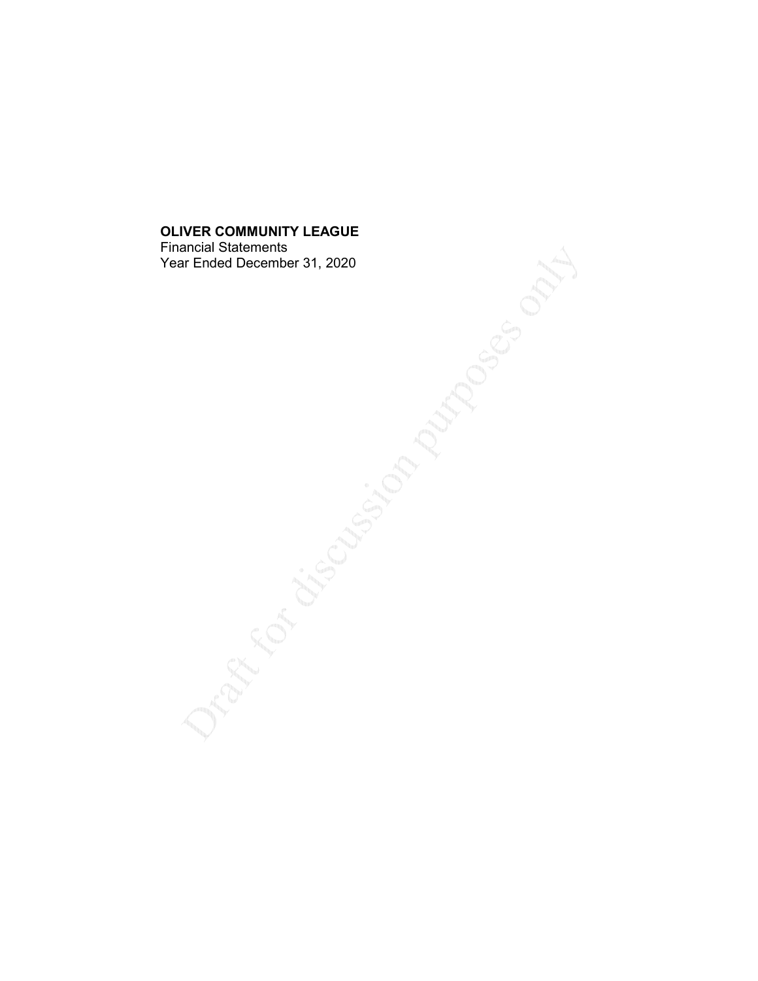Financial Statements Year Ended December 31, 2020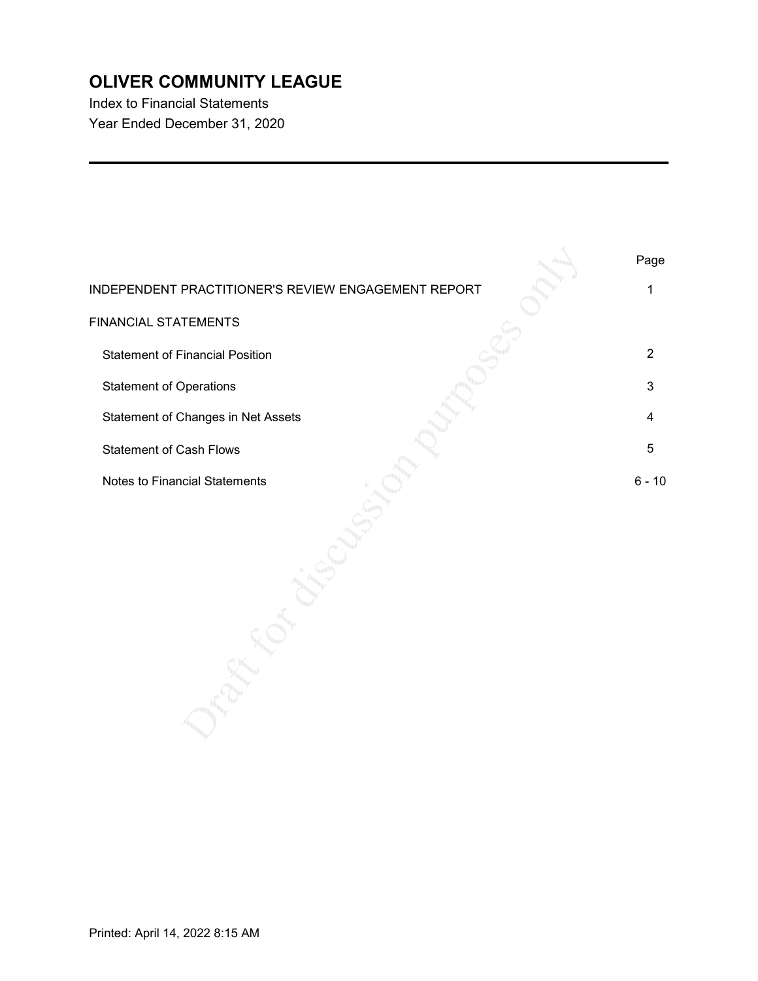Index to Financial Statements Year Ended December 31, 2020

|                                                     | Page     |
|-----------------------------------------------------|----------|
| INDEPENDENT PRACTITIONER'S REVIEW ENGAGEMENT REPORT |          |
| <b>FINANCIAL STATEMENTS</b>                         |          |
| <b>Statement of Financial Position</b>              | 2        |
| <b>Statement of Operations</b>                      | З        |
| Statement of Changes in Net Assets                  |          |
| <b>Statement of Cash Flows</b>                      | 5        |
| <b>Notes to Financial Statements</b>                | $6 - 10$ |
|                                                     |          |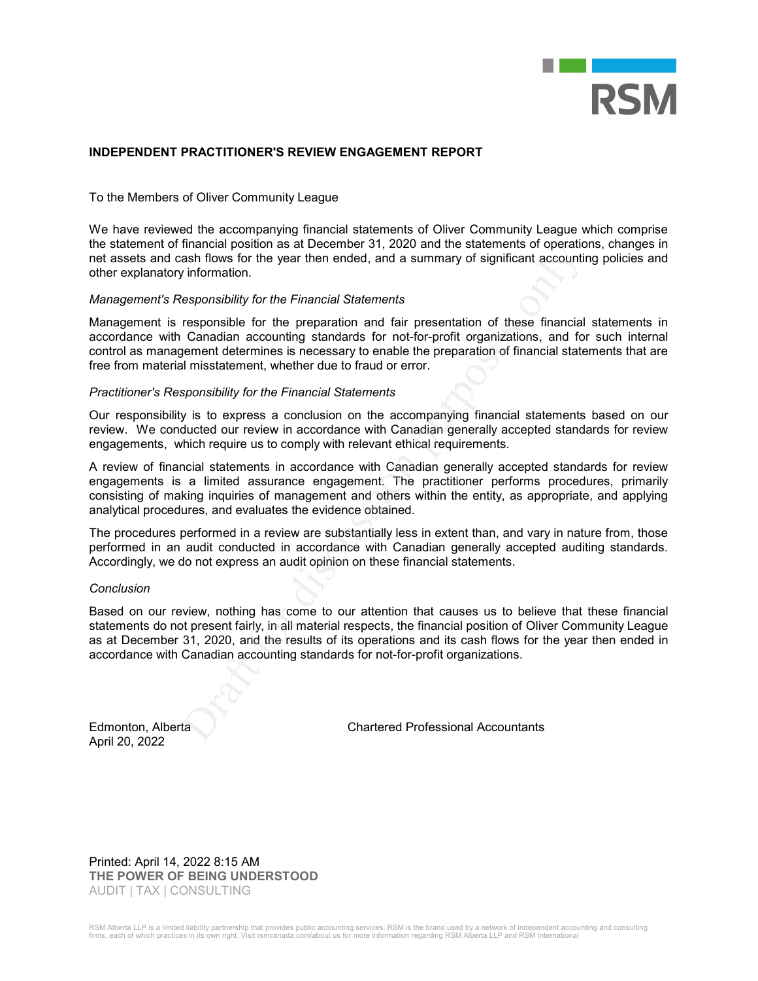

### INDEPENDENT PRACTITIONER'S REVIEW ENGAGEMENT REPORT

To the Members of Oliver Community League

We have reviewed the accompanying financial statements of Oliver Community League which comprise the statement of financial position as at December 31, 2020 and the statements of operations, changes in net assets and cash flows for the year then ended, and a summary of significant accounting policies and other explanatory information.

#### Management's Responsibility for the Financial Statements

Management is responsible for the preparation and fair presentation of these financial statements in accordance with Canadian accounting standards for not-for-profit organizations, and for such internal control as management determines is necessary to enable the preparation of financial statements that are free from material misstatement, whether due to fraud or error.

#### Practitioner's Responsibility for the Financial Statements

Our responsibility is to express a conclusion on the accompanying financial statements based on our review. We conducted our review in accordance with Canadian generally accepted standards for review engagements, which require us to comply with relevant ethical requirements.

A review of financial statements in accordance with Canadian generally accepted standards for review engagements is a limited assurance engagement. The practitioner performs procedures, primarily consisting of making inquiries of management and others within the entity, as appropriate, and applying analytical procedures, and evaluates the evidence obtained.

The procedures performed in a review are substantially less in extent than, and vary in nature from, those performed in an audit conducted in accordance with Canadian generally accepted auditing standards. Accordingly, we do not express an audit opinion on these financial statements.

#### **Conclusion**

Based on our review, nothing has come to our attention that causes us to believe that these financial statements do not present fairly, in all material respects, the financial position of Oliver Community League as at December 31, 2020, and the results of its operations and its cash flows for the year then ended in accordance with Canadian accounting standards for not-for-profit organizations.

April 20, 2022

Edmonton, Alberta Chartered Professional Accountants

Printed: April 14, 2022 8:15 AM THE POWER OF BEING UNDERSTOOD AUDIT | TAX | CONSULTING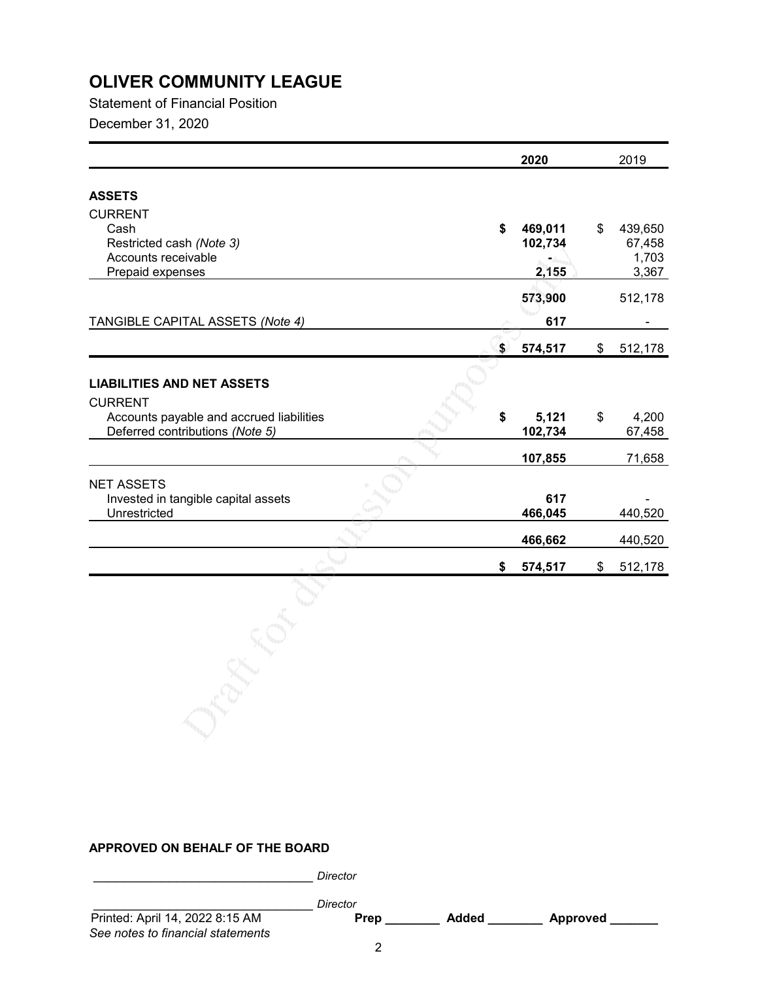Statement of Financial Position December 31, 2020

|                                          | 2020          | 2019          |
|------------------------------------------|---------------|---------------|
| <b>ASSETS</b>                            |               |               |
| <b>CURRENT</b>                           |               |               |
| Cash                                     | \$<br>469,011 | \$<br>439,650 |
| Restricted cash (Note 3)                 | 102,734       | 67,458        |
| Accounts receivable                      |               | 1,703         |
| Prepaid expenses                         | 2,155         | 3,367         |
|                                          |               |               |
|                                          | 573,900       | 512,178       |
| TANGIBLE CAPITAL ASSETS (Note 4)         | 617           |               |
|                                          | \$<br>574,517 | \$<br>512,178 |
|                                          |               |               |
|                                          |               |               |
| <b>LIABILITIES AND NET ASSETS</b>        |               |               |
| <b>CURRENT</b>                           |               |               |
| Accounts payable and accrued liabilities | \$<br>5,121   | \$<br>4,200   |
| Deferred contributions (Note 5)          | 102,734       | 67,458        |
|                                          | 107,855       | 71,658        |
|                                          |               |               |
| <b>NET ASSETS</b>                        |               |               |
| Invested in tangible capital assets      | 617           |               |
| Unrestricted                             | 466,045       | 440,520       |
|                                          | 466,662       | 440,520       |
|                                          | \$<br>574,517 | \$<br>512,178 |
|                                          |               |               |

### APPROVED ON BEHALF OF THE BOARD

Director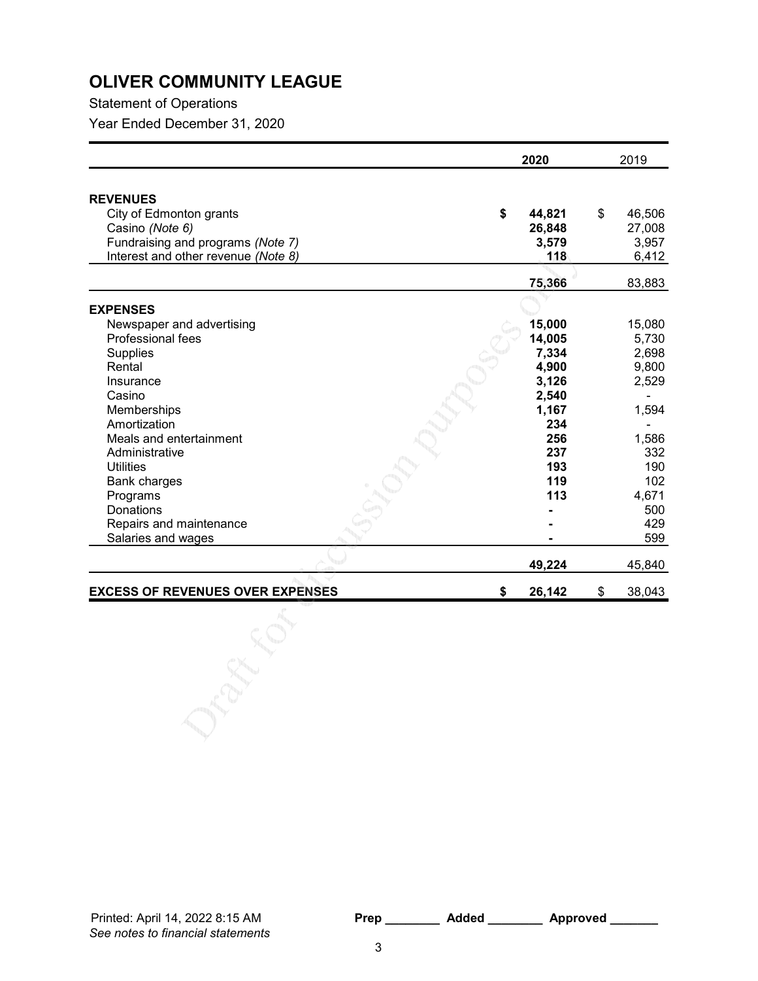Statement of Operations

Year Ended December 31, 2020

|                                                                                                                                                                                                                                                                                                          | 2020                                                                                                    | 2019                                                                                                            |
|----------------------------------------------------------------------------------------------------------------------------------------------------------------------------------------------------------------------------------------------------------------------------------------------------------|---------------------------------------------------------------------------------------------------------|-----------------------------------------------------------------------------------------------------------------|
| <b>REVENUES</b><br>City of Edmonton grants<br>Casino (Note 6)<br>Fundraising and programs (Note 7)<br>Interest and other revenue (Note 8)                                                                                                                                                                | \$<br>44,821<br>26,848<br>3,579<br>118                                                                  | \$<br>46,506<br>27,008<br>3,957<br>6,412                                                                        |
|                                                                                                                                                                                                                                                                                                          | 75,366                                                                                                  | 83,883                                                                                                          |
|                                                                                                                                                                                                                                                                                                          |                                                                                                         |                                                                                                                 |
| <b>EXPENSES</b><br>Newspaper and advertising<br>Professional fees<br>Supplies<br>Rental<br>Insurance<br>Casino<br>Memberships<br>Amortization<br>Meals and entertainment<br>Administrative<br><b>Utilities</b><br>Bank charges<br>Programs<br>Donations<br>Repairs and maintenance<br>Salaries and wages | 15,000<br>14,005<br>7,334<br>4,900<br>3,126<br>2,540<br>1,167<br>234<br>256<br>237<br>193<br>119<br>113 | 15,080<br>5,730<br>2,698<br>9,800<br>2,529<br>1,594<br>1,586<br>332<br>190<br>102<br>4,671<br>500<br>429<br>599 |
|                                                                                                                                                                                                                                                                                                          | 49,224                                                                                                  | 45,840                                                                                                          |
| <b>EXCESS OF REVENUES OVER EXPENSES</b>                                                                                                                                                                                                                                                                  | 26,142<br>\$                                                                                            | \$<br>38,043                                                                                                    |
|                                                                                                                                                                                                                                                                                                          |                                                                                                         |                                                                                                                 |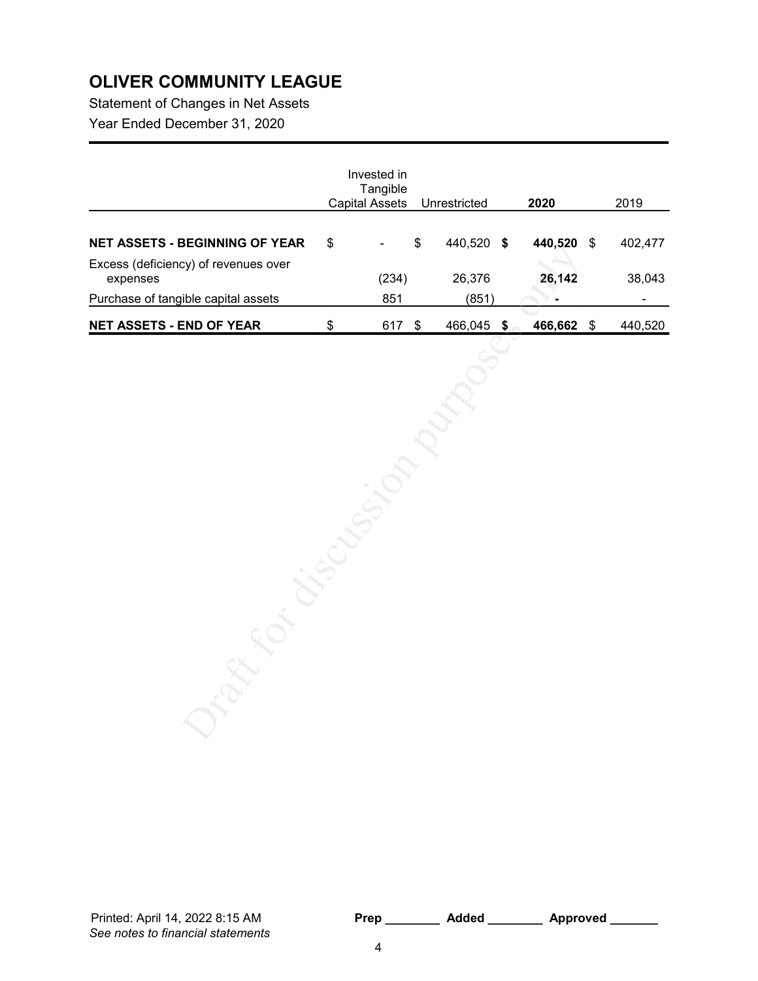Statement of Changes in Net Assets Year Ended December 31, 2020

| Tangible  |                                      |         |              | 2020    |      | 2019    |
|-----------|--------------------------------------|---------|--------------|---------|------|---------|
| \$<br>۰   | \$                                   | 440,520 | - \$         | 440,520 | \$   | 402,477 |
| (234)     |                                      | 26,376  |              | 26,142  |      | 38,043  |
| 851       |                                      | (851)   |              | ۰       |      |         |
| \$<br>617 |                                      | 466,045 | 5            | 466,662 | - \$ | 440,520 |
|           | Invested in<br><b>Capital Assets</b> | - \$    | Unrestricted |         |      |         |

See notes to financial statements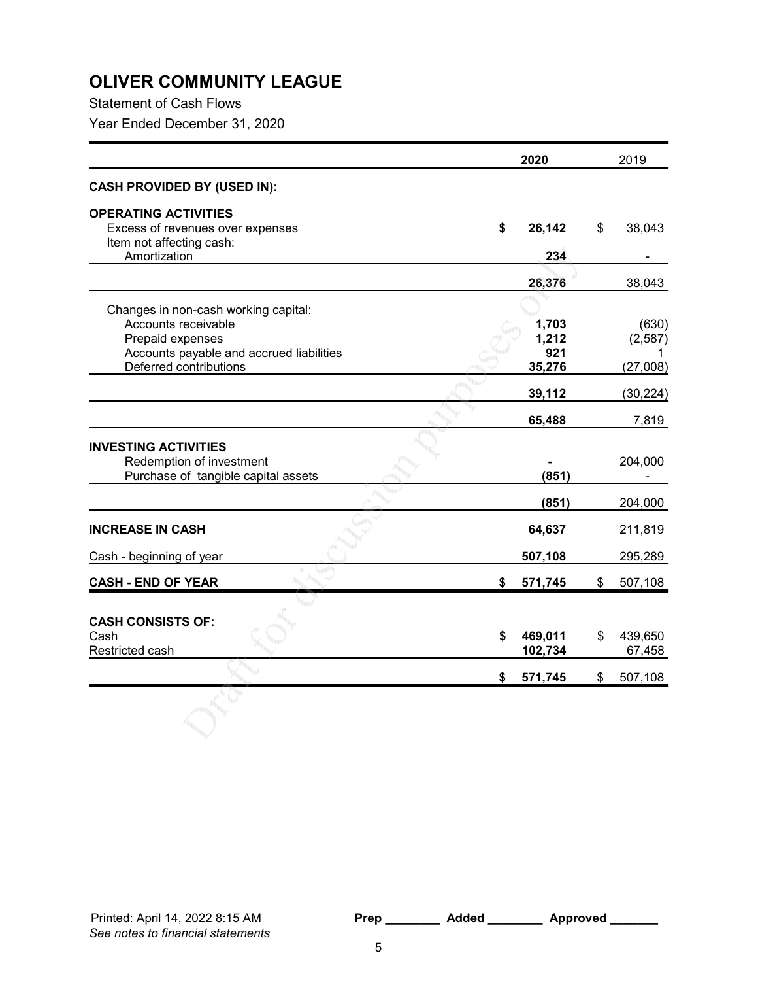Statement of Cash Flows

Year Ended December 31, 2020

|                                          | 2020          | 2019          |
|------------------------------------------|---------------|---------------|
| <b>CASH PROVIDED BY (USED IN):</b>       |               |               |
| <b>OPERATING ACTIVITIES</b>              |               |               |
| Excess of revenues over expenses         | \$<br>26,142  | \$<br>38,043  |
| Item not affecting cash:                 |               |               |
| Amortization                             | 234           |               |
|                                          | 26,376        | 38,043        |
|                                          |               |               |
| Changes in non-cash working capital:     |               |               |
| Accounts receivable                      | 1,703         | (630)         |
| Prepaid expenses                         | 1,212         | (2,587)       |
| Accounts payable and accrued liabilities | 921           |               |
| Deferred contributions                   | 35,276        | (27,008)      |
|                                          | 39,112        | (30, 224)     |
|                                          | 65,488        | 7,819         |
| <b>INVESTING ACTIVITIES</b>              |               |               |
| Redemption of investment                 |               | 204,000       |
| Purchase of tangible capital assets      | (851)         |               |
|                                          |               |               |
|                                          | (851)         | 204,000       |
| <b>INCREASE IN CASH</b>                  | 64,637        | 211,819       |
| Cash - beginning of year                 | 507,108       | 295,289       |
| <b>CASH - END OF YEAR</b>                | \$<br>571,745 | \$<br>507,108 |
|                                          |               |               |
| <b>CASH CONSISTS OF:</b>                 |               |               |
| Cash                                     | \$<br>469,011 | \$<br>439,650 |
| Restricted cash                          | 102,734       | 67,458        |
|                                          | \$<br>571,745 | \$<br>507,108 |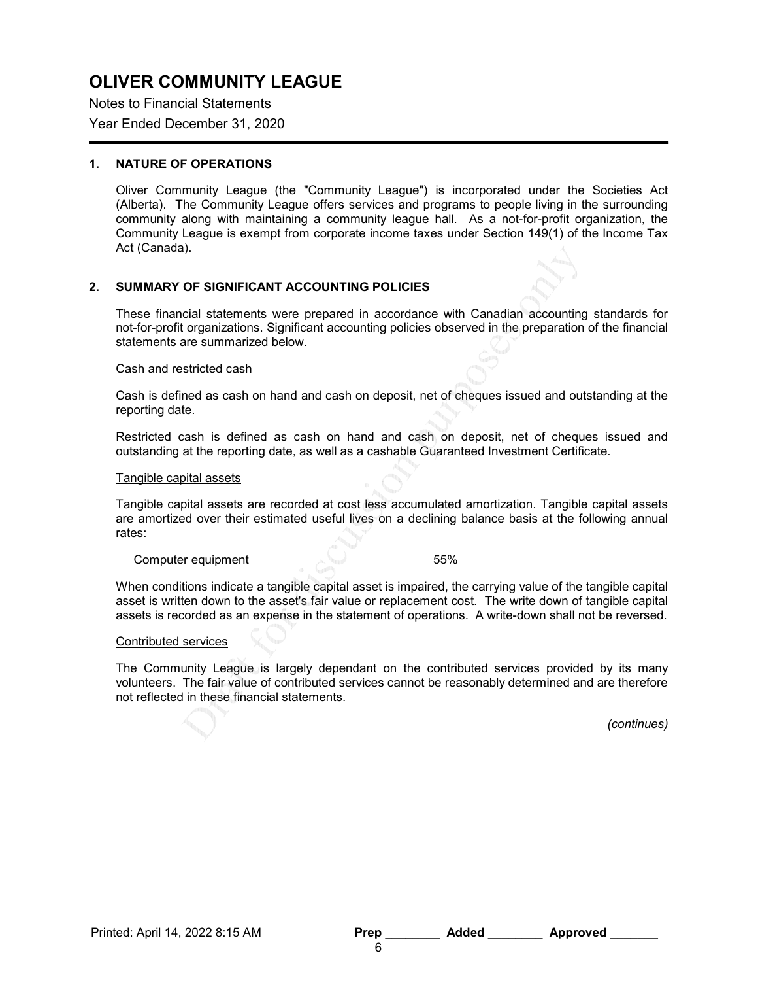Notes to Financial Statements Year Ended December 31, 2020

### 1. NATURE OF OPERATIONS

Oliver Community League (the "Community League") is incorporated under the Societies Act (Alberta). The Community League offers services and programs to people living in the surrounding community along with maintaining a community league hall. As a not-for-profit organization, the Community League is exempt from corporate income taxes under Section 149(1) of the Income Tax Act (Canada).

## 2. SUMMARY OF SIGNIFICANT ACCOUNTING POLICIES

These financial statements were prepared in accordance with Canadian accounting standards for not-for-profit organizations. Significant accounting policies observed in the preparation of the financial statements are summarized below.

#### Cash and restricted cash

Cash is defined as cash on hand and cash on deposit, net of cheques issued and outstanding at the reporting date.

Restricted cash is defined as cash on hand and cash on deposit, net of cheques issued and outstanding at the reporting date, as well as a cashable Guaranteed Investment Certificate.

### Tangible capital assets

Tangible capital assets are recorded at cost less accumulated amortization. Tangible capital assets are amortized over their estimated useful lives on a declining balance basis at the following annual rates:

Computer equipment 55%

When conditions indicate a tangible capital asset is impaired, the carrying value of the tangible capital asset is written down to the asset's fair value or replacement cost. The write down of tangible capital assets is recorded as an expense in the statement of operations. A write-down shall not be reversed.

### Contributed services

The Community League is largely dependant on the contributed services provided by its many volunteers. The fair value of contributed services cannot be reasonably determined and are therefore not reflected in these financial statements.

(continues)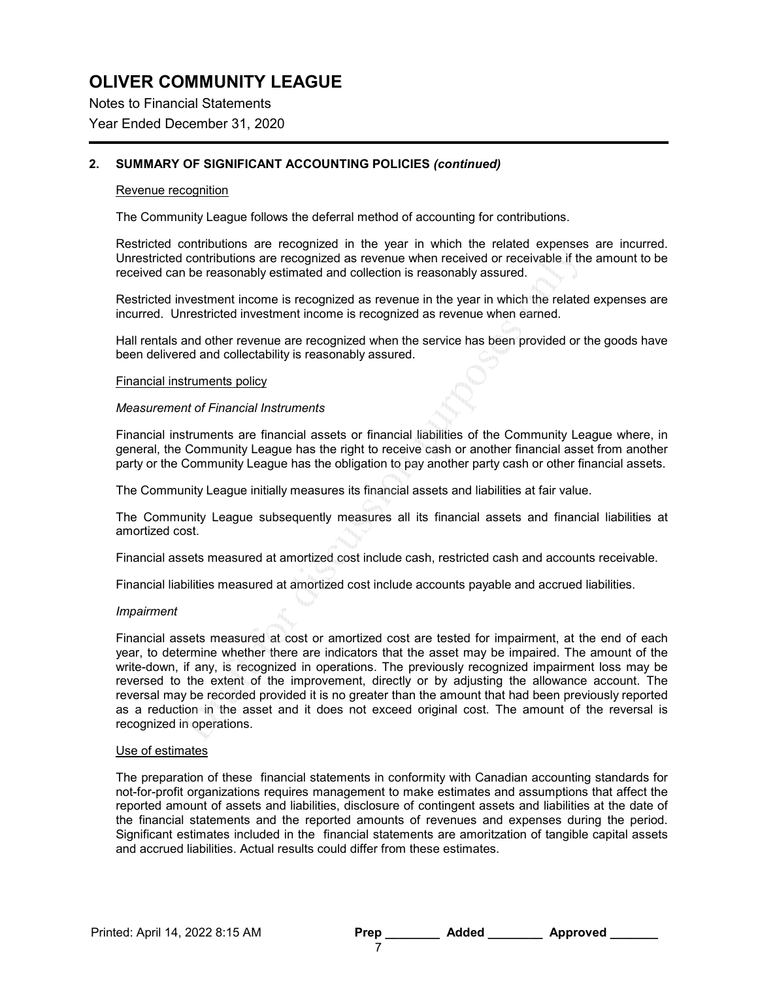Notes to Financial Statements Year Ended December 31, 2020

## 2. SUMMARY OF SIGNIFICANT ACCOUNTING POLICIES (continued)

### Revenue recognition

The Community League follows the deferral method of accounting for contributions.

Restricted contributions are recognized in the year in which the related expenses are incurred. Unrestricted contributions are recognized as revenue when received or receivable if the amount to be received can be reasonably estimated and collection is reasonably assured.

Restricted investment income is recognized as revenue in the year in which the related expenses are incurred. Unrestricted investment income is recognized as revenue when earned.

Hall rentals and other revenue are recognized when the service has been provided or the goods have been delivered and collectability is reasonably assured.

#### Financial instruments policy

#### Measurement of Financial Instruments

Financial instruments are financial assets or financial liabilities of the Community League where, in general, the Community League has the right to receive cash or another financial asset from another party or the Community League has the obligation to pay another party cash or other financial assets.

The Community League initially measures its financial assets and liabilities at fair value.

The Community League subsequently measures all its financial assets and financial liabilities at amortized cost.

Financial assets measured at amortized cost include cash, restricted cash and accounts receivable.

Financial liabilities measured at amortized cost include accounts payable and accrued liabilities.

#### Impairment

Financial assets measured at cost or amortized cost are tested for impairment, at the end of each year, to determine whether there are indicators that the asset may be impaired. The amount of the write-down, if any, is recognized in operations. The previously recognized impairment loss may be reversed to the extent of the improvement, directly or by adjusting the allowance account. The reversal may be recorded provided it is no greater than the amount that had been previously reported as a reduction in the asset and it does not exceed original cost. The amount of the reversal is recognized in operations.

#### Use of estimates

The preparation of these financial statements in conformity with Canadian accounting standards for not-for-profit organizations requires management to make estimates and assumptions that affect the reported amount of assets and liabilities, disclosure of contingent assets and liabilities at the date of the financial statements and the reported amounts of revenues and expenses during the period. Significant estimates included in the financial statements are amoritzation of tangible capital assets and accrued liabilities. Actual results could differ from these estimates.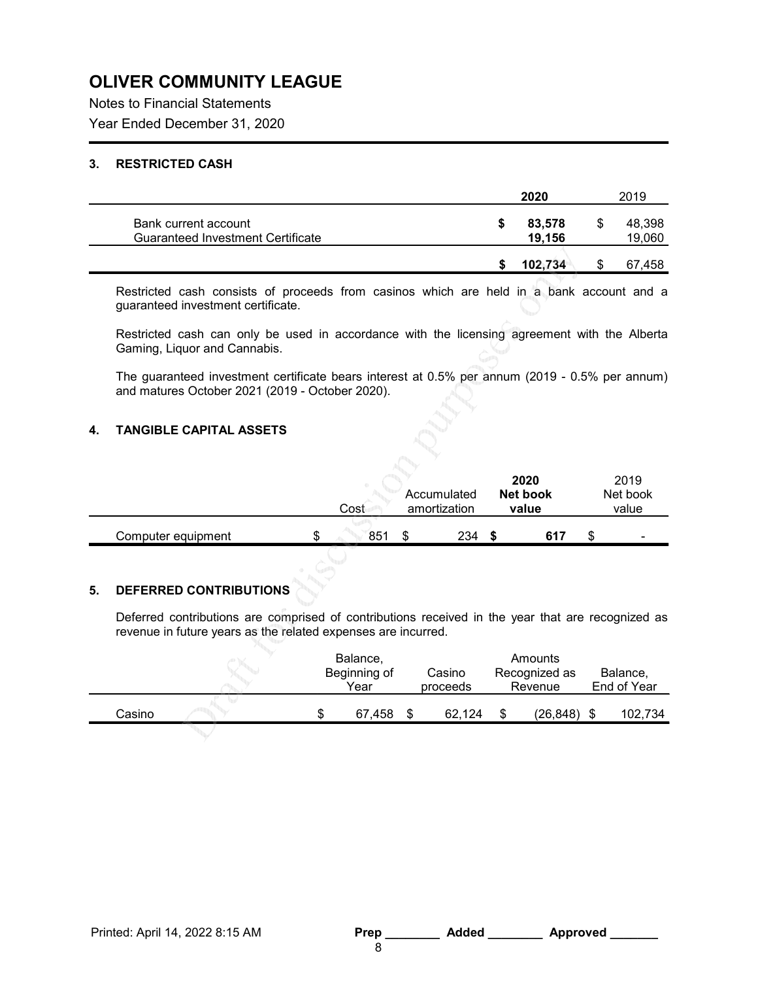Notes to Financial Statements Year Ended December 31, 2020

## 3. RESTRICTED CASH

| 83,578<br>19,156 |    | 48,398<br>19,060 |
|------------------|----|------------------|
| 102,734          | ۰D | 67,458           |
|                  |    |                  |

Restricted cash consists of proceeds from casinos which are held in a bank account and a guaranteed investment certificate.

Restricted cash can only be used in accordance with the licensing agreement with the Alberta Gaming, Liquor and Cannabis.

The guaranteed investment certificate bears interest at 0.5% per annum (2019 - 0.5% per annum) and matures October 2021 (2019 - October 2020).

## 4. TANGIBLE CAPITAL ASSETS

|                    |  |      |                             | 2020 | 2019 |                          |  |  |                   |                   |
|--------------------|--|------|-----------------------------|------|------|--------------------------|--|--|-------------------|-------------------|
|                    |  | Cost | Accumulated<br>amortization |      |      |                          |  |  | Net book<br>value | Net book<br>value |
| Computer equipment |  | 851  |                             | 234  | 617  | $\overline{\phantom{0}}$ |  |  |                   |                   |

## 5. DEFERRED CONTRIBUTIONS

Deferred contributions are comprised of contributions received in the year that are recognized as revenue in future years as the related expenses are incurred.

|        |  | Balance,<br>Beginning of<br>Year | Casino<br>proceeds | Amounts<br>Recognized as<br>Revenue | Balance,<br>End of Year |
|--------|--|----------------------------------|--------------------|-------------------------------------|-------------------------|
| Casino |  | 67.458                           | 62.124             | (26, 848)                           | 102,734                 |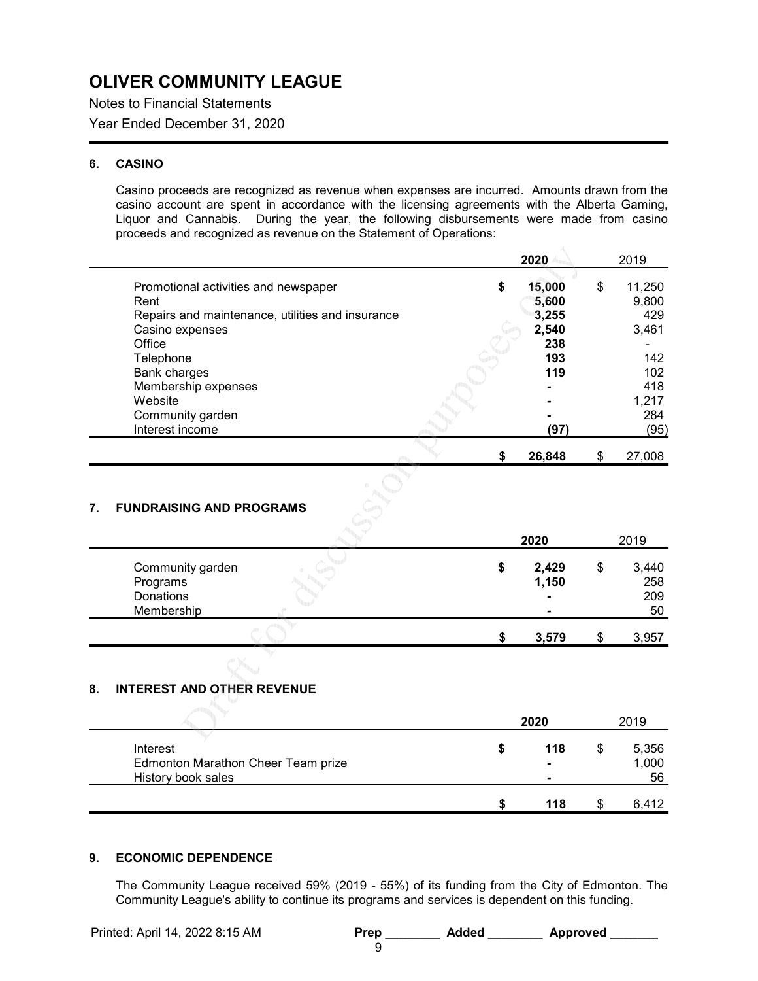Notes to Financial Statements Year Ended December 31, 2020

## 6. CASINO

Casino proceeds are recognized as revenue when expenses are incurred. Amounts drawn from the casino account are spent in accordance with the licensing agreements with the Alberta Gaming, Liquor and Cannabis. During the year, the following disbursements were made from casino proceeds and recognized as revenue on the Statement of Operations:

|                                                  | 2020         | 2019         |
|--------------------------------------------------|--------------|--------------|
| Promotional activities and newspaper             | \$<br>15,000 | \$<br>11,250 |
| Rent                                             | 5,600        | 9,800        |
| Repairs and maintenance, utilities and insurance | 3,255        | 429          |
| Casino expenses                                  | 2,540        | 3,461        |
| Office                                           | 238          |              |
| Telephone                                        | 193          | 142          |
| Bank charges                                     | 119          | 102          |
| Membership expenses                              |              | 418          |
| Website                                          |              | 1,217        |
| Community garden                                 |              | 284          |
| Interest income                                  | (97)         | (95)         |
|                                                  |              |              |
|                                                  | 26.848       | \$<br>27,008 |

## 7. FUNDRAISING AND PROGRAMS

|                                                         |  | 2020                                               | 2019                            |
|---------------------------------------------------------|--|----------------------------------------------------|---------------------------------|
| Community garden<br>Programs<br>Donations<br>Membership |  | 2,429<br>1,150<br>$\blacksquare$<br>$\blacksquare$ | \$<br>3,440<br>258<br>209<br>50 |
|                                                         |  | 3,579                                              | 3,957                           |

## 8. INTEREST AND OTHER REVENUE

|                                    | 2020   | 2019  |
|------------------------------------|--------|-------|
| Interest                           | 118    | 5,356 |
| Edmonton Marathon Cheer Team prize | $\sim$ | 1,000 |
| History book sales                 | $\sim$ | 56    |
|                                    | 118    | 6,412 |

## 9. ECONOMIC DEPENDENCE

The Community League received 59% (2019 - 55%) of its funding from the City of Edmonton. The Community League's ability to continue its programs and services is dependent on this funding.

| <b>Prep</b> | <b>Added</b> | <b>Approved</b> |
|-------------|--------------|-----------------|
|             |              |                 |